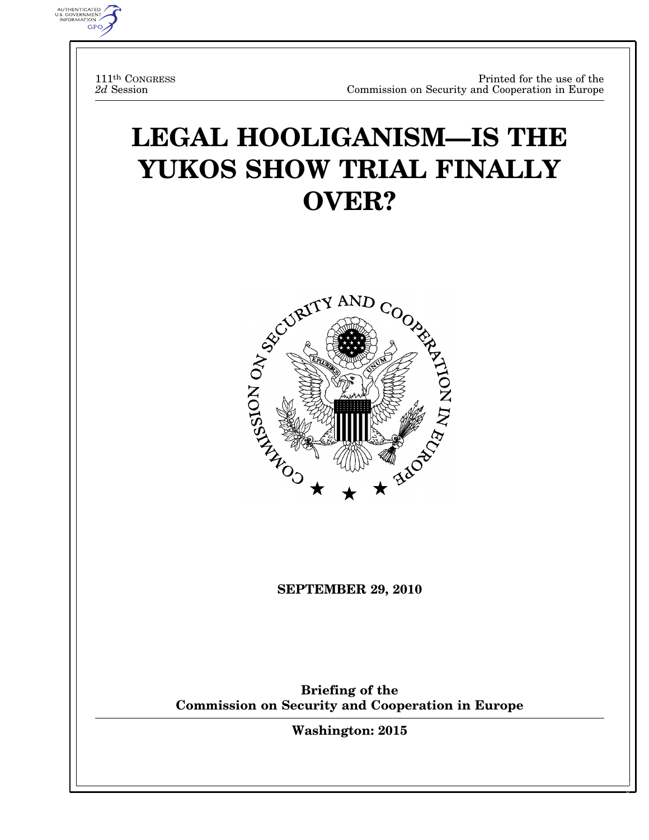111th CONGRESS *2d* Session

AUTHENTICATED<br>U.S. GOVERNMENT<br>INFORMATION **GPO** 

# **LEGAL HOOLIGANISM—IS THE YUKOS SHOW TRIAL FINALLY OVER?**



**SEPTEMBER 29, 2010** 

**Briefing of the Commission on Security and Cooperation in Europe** 

**Washington: 2015** 

 $\frac{1}{2}$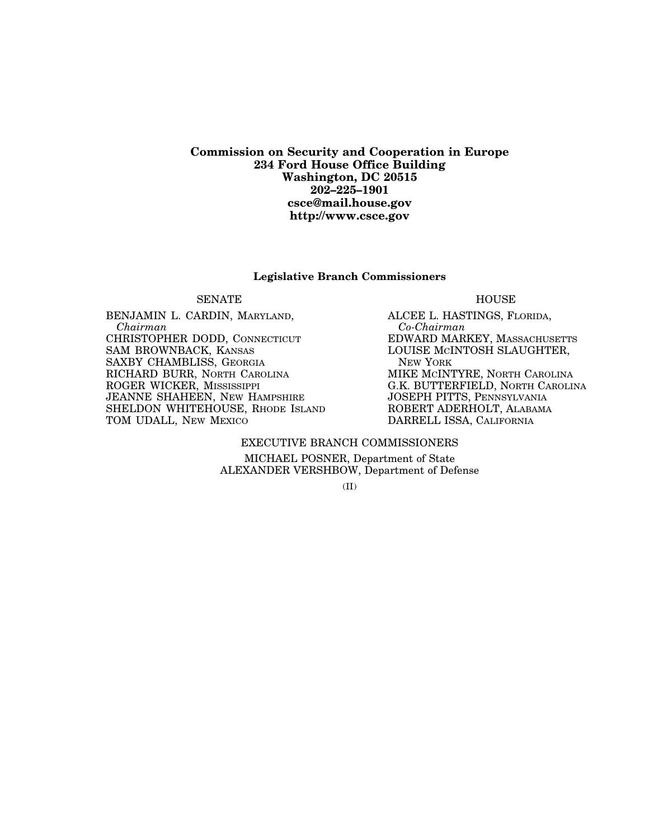#### **Commission on Security and Cooperation in Europe 234 Ford House Office Building Washington, DC 20515 202–225–1901 csce@mail.house.gov http://www.csce.gov**

#### **Legislative Branch Commissioners**

#### SENATE HOUSE

BENJAMIN L. CARDIN, MARYLAND, *Chairman*  CHRISTOPHER DODD, CONNECTICUT SAM BROWNBACK, KANSAS SAXBY CHAMBLISS, GEORGIA RICHARD BURR, NORTH CAROLINA ROGER WICKER, MISSISSIPPI JEANNE SHAHEEN, NEW HAMPSHIRE SHELDON WHITEHOUSE, RHODE ISLAND TOM UDALL, NEW MEXICO

ALCEE L. HASTINGS, FLORIDA, *Co-Chairman*  EDWARD MARKEY, MASSACHUSETTS LOUISE MCINTOSH SLAUGHTER, NEW YORK MIKE MCINTYRE, NORTH CAROLINA G.K. BUTTERFIELD, NORTH CAROLINA JOSEPH PITTS, PENNSYLVANIA ROBERT ADERHOLT, ALABAMA DARRELL ISSA, CALIFORNIA

#### EXECUTIVE BRANCH COMMISSIONERS

MICHAEL POSNER, Department of State ALEXANDER VERSHBOW, Department of Defense

(II)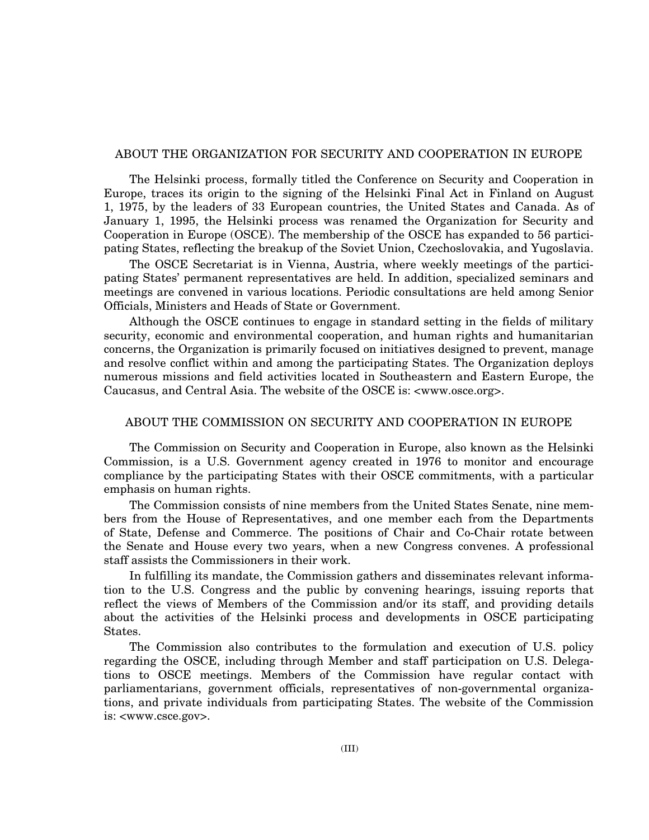#### ABOUT THE ORGANIZATION FOR SECURITY AND COOPERATION IN EUROPE

The Helsinki process, formally titled the Conference on Security and Cooperation in Europe, traces its origin to the signing of the Helsinki Final Act in Finland on August 1, 1975, by the leaders of 33 European countries, the United States and Canada. As of January 1, 1995, the Helsinki process was renamed the Organization for Security and Cooperation in Europe (OSCE). The membership of the OSCE has expanded to 56 participating States, reflecting the breakup of the Soviet Union, Czechoslovakia, and Yugoslavia.

The OSCE Secretariat is in Vienna, Austria, where weekly meetings of the participating States' permanent representatives are held. In addition, specialized seminars and meetings are convened in various locations. Periodic consultations are held among Senior Officials, Ministers and Heads of State or Government.

Although the OSCE continues to engage in standard setting in the fields of military security, economic and environmental cooperation, and human rights and humanitarian concerns, the Organization is primarily focused on initiatives designed to prevent, manage and resolve conflict within and among the participating States. The Organization deploys numerous missions and field activities located in Southeastern and Eastern Europe, the Caucasus, and Central Asia. The website of the OSCE is: <www.osce.org>.

#### ABOUT THE COMMISSION ON SECURITY AND COOPERATION IN EUROPE

The Commission on Security and Cooperation in Europe, also known as the Helsinki Commission, is a U.S. Government agency created in 1976 to monitor and encourage compliance by the participating States with their OSCE commitments, with a particular emphasis on human rights.

The Commission consists of nine members from the United States Senate, nine members from the House of Representatives, and one member each from the Departments of State, Defense and Commerce. The positions of Chair and Co-Chair rotate between the Senate and House every two years, when a new Congress convenes. A professional staff assists the Commissioners in their work.

In fulfilling its mandate, the Commission gathers and disseminates relevant information to the U.S. Congress and the public by convening hearings, issuing reports that reflect the views of Members of the Commission and/or its staff, and providing details about the activities of the Helsinki process and developments in OSCE participating States.

The Commission also contributes to the formulation and execution of U.S. policy regarding the OSCE, including through Member and staff participation on U.S. Delegations to OSCE meetings. Members of the Commission have regular contact with parliamentarians, government officials, representatives of non-governmental organizations, and private individuals from participating States. The website of the Commission is: <www.csce.gov>.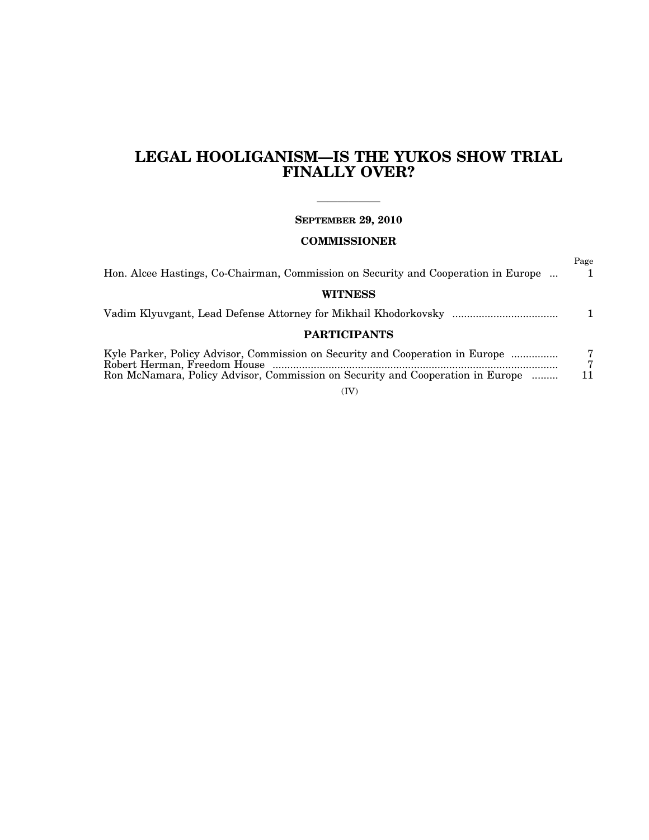# **LEGAL HOOLIGANISM—IS THE YUKOS SHOW TRIAL FINALLY OVER?**

### —————— **SEPTEMBER 29, 2010**

### **COMMISSIONER**

| Hon. Alcee Hastings, Co-Chairman, Commission on Security and Cooperation in Europe                                                                              | Page<br>1. |
|-----------------------------------------------------------------------------------------------------------------------------------------------------------------|------------|
| <b>WITNESS</b>                                                                                                                                                  |            |
|                                                                                                                                                                 |            |
| <b>PARTICIPANTS</b>                                                                                                                                             |            |
| Kyle Parker, Policy Advisor, Commission on Security and Cooperation in Europe<br>Ron McNamara, Policy Advisor, Commission on Security and Cooperation in Europe | 7          |

(IV)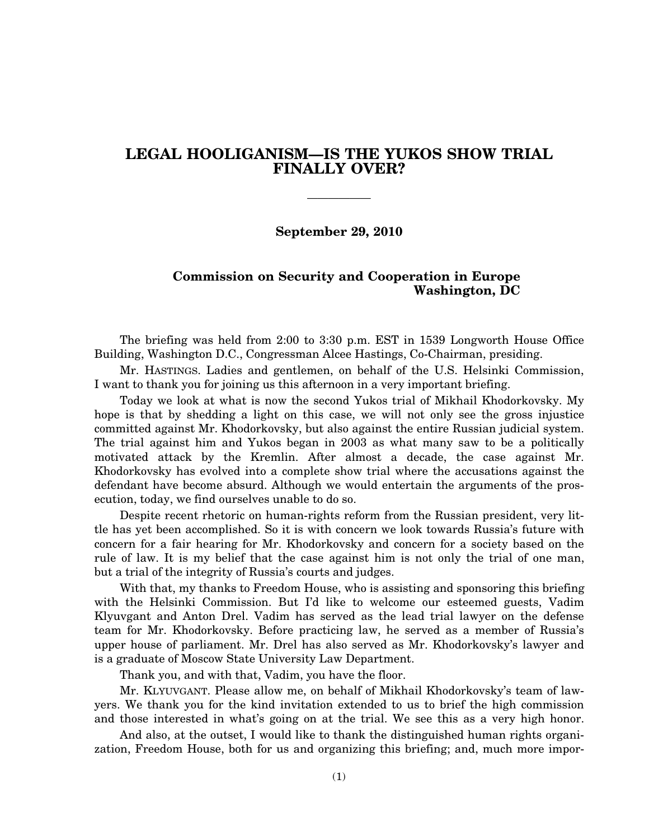## **LEGAL HOOLIGANISM—IS THE YUKOS SHOW TRIAL FINALLY OVER?**

——————

**September 29, 2010** 

#### **Commission on Security and Cooperation in Europe Washington, DC**

The briefing was held from 2:00 to 3:30 p.m. EST in 1539 Longworth House Office Building, Washington D.C., Congressman Alcee Hastings, Co-Chairman, presiding.

Mr. HASTINGS. Ladies and gentlemen, on behalf of the U.S. Helsinki Commission, I want to thank you for joining us this afternoon in a very important briefing.

Today we look at what is now the second Yukos trial of Mikhail Khodorkovsky. My hope is that by shedding a light on this case, we will not only see the gross injustice committed against Mr. Khodorkovsky, but also against the entire Russian judicial system. The trial against him and Yukos began in 2003 as what many saw to be a politically motivated attack by the Kremlin. After almost a decade, the case against Mr. Khodorkovsky has evolved into a complete show trial where the accusations against the defendant have become absurd. Although we would entertain the arguments of the prosecution, today, we find ourselves unable to do so.

Despite recent rhetoric on human-rights reform from the Russian president, very little has yet been accomplished. So it is with concern we look towards Russia's future with concern for a fair hearing for Mr. Khodorkovsky and concern for a society based on the rule of law. It is my belief that the case against him is not only the trial of one man, but a trial of the integrity of Russia's courts and judges.

With that, my thanks to Freedom House, who is assisting and sponsoring this briefing with the Helsinki Commission. But I'd like to welcome our esteemed guests, Vadim Klyuvgant and Anton Drel. Vadim has served as the lead trial lawyer on the defense team for Mr. Khodorkovsky. Before practicing law, he served as a member of Russia's upper house of parliament. Mr. Drel has also served as Mr. Khodorkovsky's lawyer and is a graduate of Moscow State University Law Department.

Thank you, and with that, Vadim, you have the floor.

Mr. KLYUVGANT. Please allow me, on behalf of Mikhail Khodorkovsky's team of lawyers. We thank you for the kind invitation extended to us to brief the high commission and those interested in what's going on at the trial. We see this as a very high honor.

And also, at the outset, I would like to thank the distinguished human rights organization, Freedom House, both for us and organizing this briefing; and, much more impor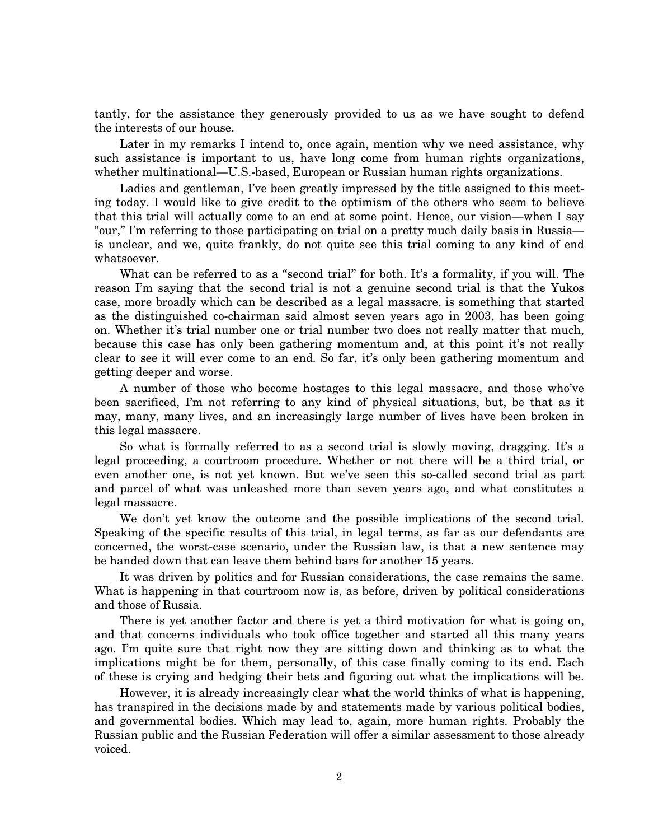tantly, for the assistance they generously provided to us as we have sought to defend the interests of our house.

Later in my remarks I intend to, once again, mention why we need assistance, why such assistance is important to us, have long come from human rights organizations, whether multinational—U.S.-based, European or Russian human rights organizations.

Ladies and gentleman, I've been greatly impressed by the title assigned to this meeting today. I would like to give credit to the optimism of the others who seem to believe that this trial will actually come to an end at some point. Hence, our vision—when I say "our," I'm referring to those participating on trial on a pretty much daily basis in Russia is unclear, and we, quite frankly, do not quite see this trial coming to any kind of end whatsoever.

What can be referred to as a ''second trial'' for both. It's a formality, if you will. The reason I'm saying that the second trial is not a genuine second trial is that the Yukos case, more broadly which can be described as a legal massacre, is something that started as the distinguished co-chairman said almost seven years ago in 2003, has been going on. Whether it's trial number one or trial number two does not really matter that much, because this case has only been gathering momentum and, at this point it's not really clear to see it will ever come to an end. So far, it's only been gathering momentum and getting deeper and worse.

A number of those who become hostages to this legal massacre, and those who've been sacrificed, I'm not referring to any kind of physical situations, but, be that as it may, many, many lives, and an increasingly large number of lives have been broken in this legal massacre.

So what is formally referred to as a second trial is slowly moving, dragging. It's a legal proceeding, a courtroom procedure. Whether or not there will be a third trial, or even another one, is not yet known. But we've seen this so-called second trial as part and parcel of what was unleashed more than seven years ago, and what constitutes a legal massacre.

We don't yet know the outcome and the possible implications of the second trial. Speaking of the specific results of this trial, in legal terms, as far as our defendants are concerned, the worst-case scenario, under the Russian law, is that a new sentence may be handed down that can leave them behind bars for another 15 years.

It was driven by politics and for Russian considerations, the case remains the same. What is happening in that courtroom now is, as before, driven by political considerations and those of Russia.

There is yet another factor and there is yet a third motivation for what is going on, and that concerns individuals who took office together and started all this many years ago. I'm quite sure that right now they are sitting down and thinking as to what the implications might be for them, personally, of this case finally coming to its end. Each of these is crying and hedging their bets and figuring out what the implications will be.

However, it is already increasingly clear what the world thinks of what is happening, has transpired in the decisions made by and statements made by various political bodies, and governmental bodies. Which may lead to, again, more human rights. Probably the Russian public and the Russian Federation will offer a similar assessment to those already voiced.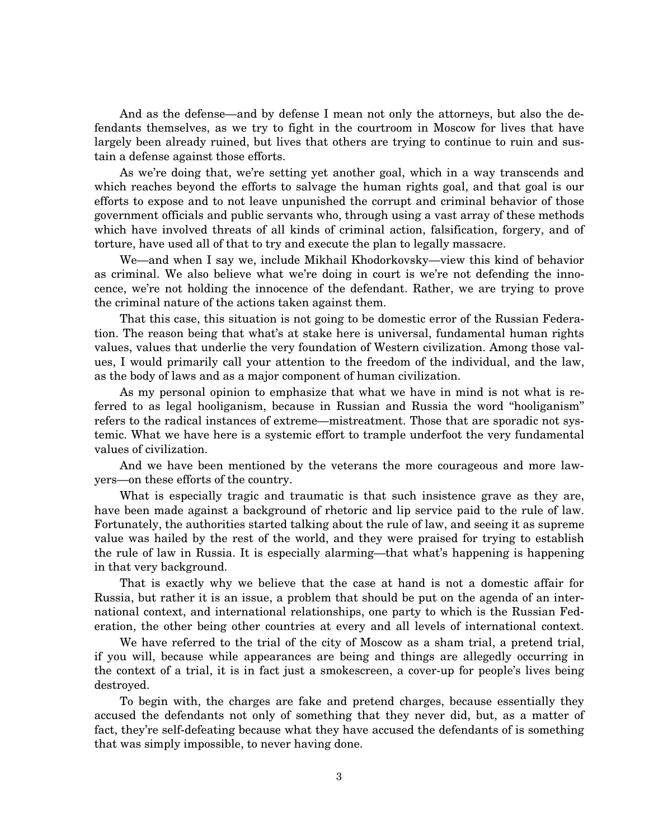And as the defense—and by defense I mean not only the attorneys, but also the defendants themselves, as we try to fight in the courtroom in Moscow for lives that have largely been already ruined, but lives that others are trying to continue to ruin and sustain a defense against those efforts.

As we're doing that, we're setting yet another goal, which in a way transcends and which reaches beyond the efforts to salvage the human rights goal, and that goal is our efforts to expose and to not leave unpunished the corrupt and criminal behavior of those government officials and public servants who, through using a vast array of these methods which have involved threats of all kinds of criminal action, falsification, forgery, and of torture, have used all of that to try and execute the plan to legally massacre.

We—and when I say we, include Mikhail Khodorkovsky—view this kind of behavior as criminal. We also believe what we're doing in court is we're not defending the innocence, we're not holding the innocence of the defendant. Rather, we are trying to prove the criminal nature of the actions taken against them.

That this case, this situation is not going to be domestic error of the Russian Federation. The reason being that what's at stake here is universal, fundamental human rights values, values that underlie the very foundation of Western civilization. Among those values, I would primarily call your attention to the freedom of the individual, and the law, as the body of laws and as a major component of human civilization.

As my personal opinion to emphasize that what we have in mind is not what is referred to as legal hooliganism, because in Russian and Russia the word ''hooliganism'' refers to the radical instances of extreme—mistreatment. Those that are sporadic not systemic. What we have here is a systemic effort to trample underfoot the very fundamental values of civilization.

And we have been mentioned by the veterans the more courageous and more lawyers—on these efforts of the country.

What is especially tragic and traumatic is that such insistence grave as they are, have been made against a background of rhetoric and lip service paid to the rule of law. Fortunately, the authorities started talking about the rule of law, and seeing it as supreme value was hailed by the rest of the world, and they were praised for trying to establish the rule of law in Russia. It is especially alarming—that what's happening is happening in that very background.

That is exactly why we believe that the case at hand is not a domestic affair for Russia, but rather it is an issue, a problem that should be put on the agenda of an international context, and international relationships, one party to which is the Russian Federation, the other being other countries at every and all levels of international context.

We have referred to the trial of the city of Moscow as a sham trial, a pretend trial, if you will, because while appearances are being and things are allegedly occurring in the context of a trial, it is in fact just a smokescreen, a cover-up for people's lives being destroyed.

To begin with, the charges are fake and pretend charges, because essentially they accused the defendants not only of something that they never did, but, as a matter of fact, they're self-defeating because what they have accused the defendants of is something that was simply impossible, to never having done.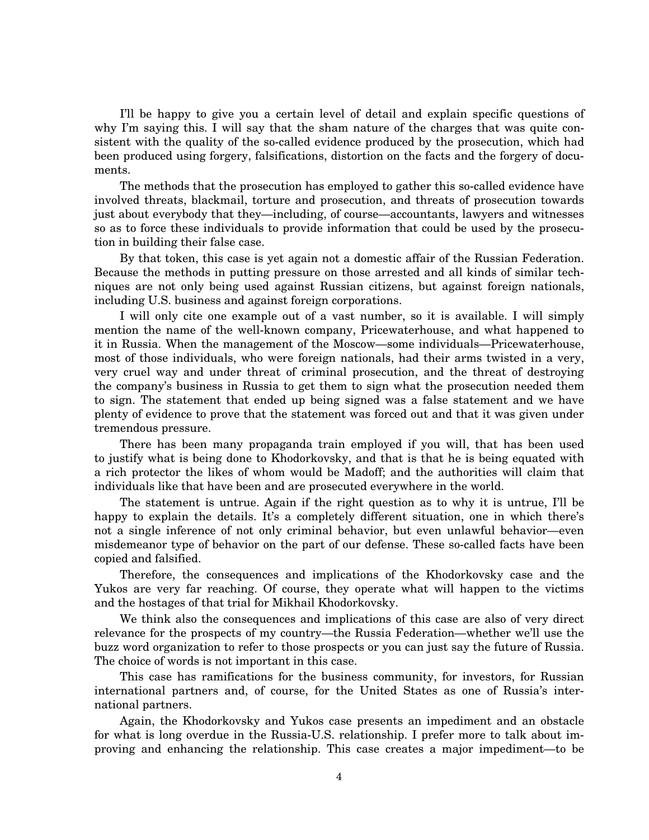I'll be happy to give you a certain level of detail and explain specific questions of why I'm saying this. I will say that the sham nature of the charges that was quite consistent with the quality of the so-called evidence produced by the prosecution, which had been produced using forgery, falsifications, distortion on the facts and the forgery of documents.

The methods that the prosecution has employed to gather this so-called evidence have involved threats, blackmail, torture and prosecution, and threats of prosecution towards just about everybody that they—including, of course—accountants, lawyers and witnesses so as to force these individuals to provide information that could be used by the prosecution in building their false case.

By that token, this case is yet again not a domestic affair of the Russian Federation. Because the methods in putting pressure on those arrested and all kinds of similar techniques are not only being used against Russian citizens, but against foreign nationals, including U.S. business and against foreign corporations.

I will only cite one example out of a vast number, so it is available. I will simply mention the name of the well-known company, Pricewaterhouse, and what happened to it in Russia. When the management of the Moscow—some individuals—Pricewaterhouse, most of those individuals, who were foreign nationals, had their arms twisted in a very, very cruel way and under threat of criminal prosecution, and the threat of destroying the company's business in Russia to get them to sign what the prosecution needed them to sign. The statement that ended up being signed was a false statement and we have plenty of evidence to prove that the statement was forced out and that it was given under tremendous pressure.

There has been many propaganda train employed if you will, that has been used to justify what is being done to Khodorkovsky, and that is that he is being equated with a rich protector the likes of whom would be Madoff; and the authorities will claim that individuals like that have been and are prosecuted everywhere in the world.

The statement is untrue. Again if the right question as to why it is untrue, I'll be happy to explain the details. It's a completely different situation, one in which there's not a single inference of not only criminal behavior, but even unlawful behavior—even misdemeanor type of behavior on the part of our defense. These so-called facts have been copied and falsified.

Therefore, the consequences and implications of the Khodorkovsky case and the Yukos are very far reaching. Of course, they operate what will happen to the victims and the hostages of that trial for Mikhail Khodorkovsky.

We think also the consequences and implications of this case are also of very direct relevance for the prospects of my country—the Russia Federation—whether we'll use the buzz word organization to refer to those prospects or you can just say the future of Russia. The choice of words is not important in this case.

This case has ramifications for the business community, for investors, for Russian international partners and, of course, for the United States as one of Russia's international partners.

Again, the Khodorkovsky and Yukos case presents an impediment and an obstacle for what is long overdue in the Russia-U.S. relationship. I prefer more to talk about improving and enhancing the relationship. This case creates a major impediment—to be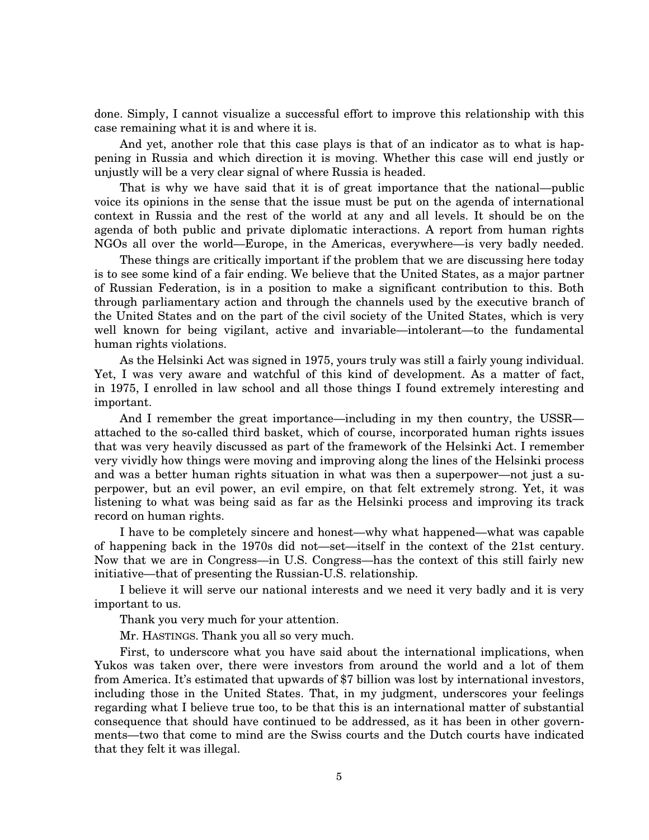done. Simply, I cannot visualize a successful effort to improve this relationship with this case remaining what it is and where it is.

And yet, another role that this case plays is that of an indicator as to what is happening in Russia and which direction it is moving. Whether this case will end justly or unjustly will be a very clear signal of where Russia is headed.

That is why we have said that it is of great importance that the national—public voice its opinions in the sense that the issue must be put on the agenda of international context in Russia and the rest of the world at any and all levels. It should be on the agenda of both public and private diplomatic interactions. A report from human rights NGOs all over the world—Europe, in the Americas, everywhere—is very badly needed.

These things are critically important if the problem that we are discussing here today is to see some kind of a fair ending. We believe that the United States, as a major partner of Russian Federation, is in a position to make a significant contribution to this. Both through parliamentary action and through the channels used by the executive branch of the United States and on the part of the civil society of the United States, which is very well known for being vigilant, active and invariable—intolerant—to the fundamental human rights violations.

As the Helsinki Act was signed in 1975, yours truly was still a fairly young individual. Yet, I was very aware and watchful of this kind of development. As a matter of fact, in 1975, I enrolled in law school and all those things I found extremely interesting and important.

And I remember the great importance—including in my then country, the USSR attached to the so-called third basket, which of course, incorporated human rights issues that was very heavily discussed as part of the framework of the Helsinki Act. I remember very vividly how things were moving and improving along the lines of the Helsinki process and was a better human rights situation in what was then a superpower—not just a superpower, but an evil power, an evil empire, on that felt extremely strong. Yet, it was listening to what was being said as far as the Helsinki process and improving its track record on human rights.

I have to be completely sincere and honest—why what happened—what was capable of happening back in the 1970s did not—set—itself in the context of the 21st century. Now that we are in Congress—in U.S. Congress—has the context of this still fairly new initiative—that of presenting the Russian-U.S. relationship.

I believe it will serve our national interests and we need it very badly and it is very important to us.

Thank you very much for your attention.

Mr. HASTINGS. Thank you all so very much.

First, to underscore what you have said about the international implications, when Yukos was taken over, there were investors from around the world and a lot of them from America. It's estimated that upwards of \$7 billion was lost by international investors, including those in the United States. That, in my judgment, underscores your feelings regarding what I believe true too, to be that this is an international matter of substantial consequence that should have continued to be addressed, as it has been in other governments—two that come to mind are the Swiss courts and the Dutch courts have indicated that they felt it was illegal.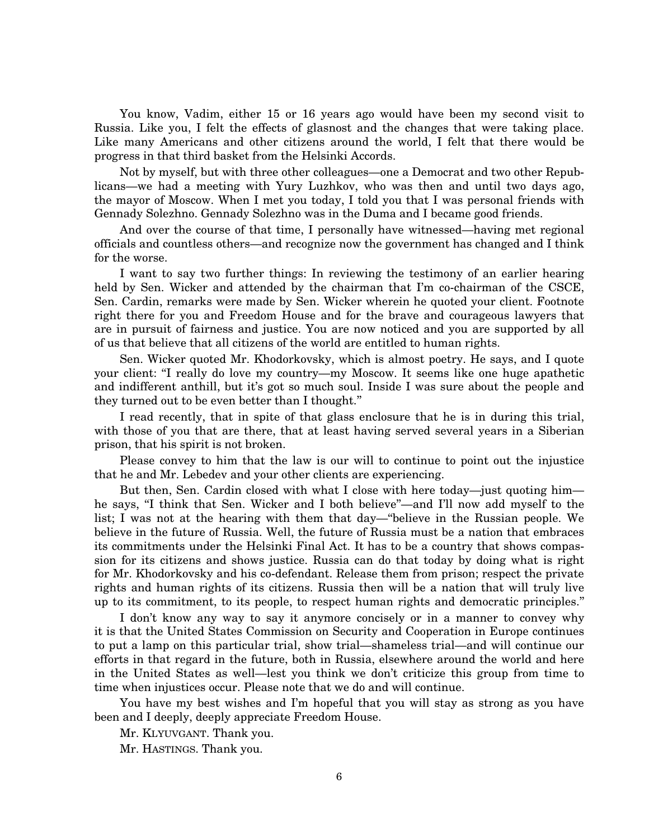You know, Vadim, either 15 or 16 years ago would have been my second visit to Russia. Like you, I felt the effects of glasnost and the changes that were taking place. Like many Americans and other citizens around the world, I felt that there would be progress in that third basket from the Helsinki Accords.

Not by myself, but with three other colleagues—one a Democrat and two other Republicans—we had a meeting with Yury Luzhkov, who was then and until two days ago, the mayor of Moscow. When I met you today, I told you that I was personal friends with Gennady Solezhno. Gennady Solezhno was in the Duma and I became good friends.

And over the course of that time, I personally have witnessed—having met regional officials and countless others—and recognize now the government has changed and I think for the worse.

I want to say two further things: In reviewing the testimony of an earlier hearing held by Sen. Wicker and attended by the chairman that I'm co-chairman of the CSCE, Sen. Cardin, remarks were made by Sen. Wicker wherein he quoted your client. Footnote right there for you and Freedom House and for the brave and courageous lawyers that are in pursuit of fairness and justice. You are now noticed and you are supported by all of us that believe that all citizens of the world are entitled to human rights.

Sen. Wicker quoted Mr. Khodorkovsky, which is almost poetry. He says, and I quote your client: ''I really do love my country—my Moscow. It seems like one huge apathetic and indifferent anthill, but it's got so much soul. Inside I was sure about the people and they turned out to be even better than I thought.''

I read recently, that in spite of that glass enclosure that he is in during this trial, with those of you that are there, that at least having served several years in a Siberian prison, that his spirit is not broken.

Please convey to him that the law is our will to continue to point out the injustice that he and Mr. Lebedev and your other clients are experiencing.

But then, Sen. Cardin closed with what I close with here today—just quoting him he says, "I think that Sen. Wicker and I both believe"—and I'll now add myself to the list; I was not at the hearing with them that day—''believe in the Russian people. We believe in the future of Russia. Well, the future of Russia must be a nation that embraces its commitments under the Helsinki Final Act. It has to be a country that shows compassion for its citizens and shows justice. Russia can do that today by doing what is right for Mr. Khodorkovsky and his co-defendant. Release them from prison; respect the private rights and human rights of its citizens. Russia then will be a nation that will truly live up to its commitment, to its people, to respect human rights and democratic principles.''

I don't know any way to say it anymore concisely or in a manner to convey why it is that the United States Commission on Security and Cooperation in Europe continues to put a lamp on this particular trial, show trial—shameless trial—and will continue our efforts in that regard in the future, both in Russia, elsewhere around the world and here in the United States as well—lest you think we don't criticize this group from time to time when injustices occur. Please note that we do and will continue.

You have my best wishes and I'm hopeful that you will stay as strong as you have been and I deeply, deeply appreciate Freedom House.

Mr. KLYUVGANT. Thank you.

Mr. HASTINGS. Thank you.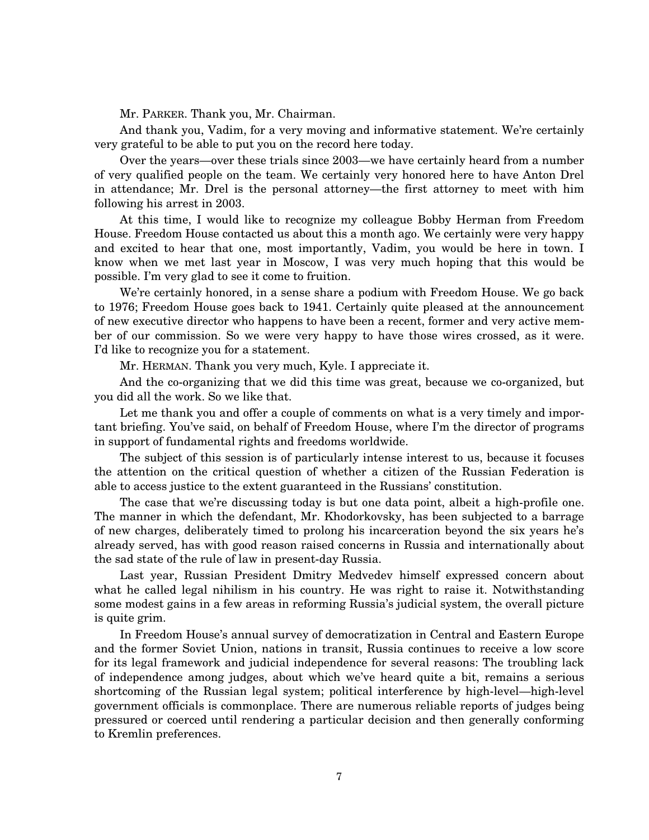Mr. PARKER. Thank you, Mr. Chairman.

And thank you, Vadim, for a very moving and informative statement. We're certainly very grateful to be able to put you on the record here today.

Over the years—over these trials since 2003—we have certainly heard from a number of very qualified people on the team. We certainly very honored here to have Anton Drel in attendance; Mr. Drel is the personal attorney—the first attorney to meet with him following his arrest in 2003.

At this time, I would like to recognize my colleague Bobby Herman from Freedom House. Freedom House contacted us about this a month ago. We certainly were very happy and excited to hear that one, most importantly, Vadim, you would be here in town. I know when we met last year in Moscow, I was very much hoping that this would be possible. I'm very glad to see it come to fruition.

We're certainly honored, in a sense share a podium with Freedom House. We go back to 1976; Freedom House goes back to 1941. Certainly quite pleased at the announcement of new executive director who happens to have been a recent, former and very active member of our commission. So we were very happy to have those wires crossed, as it were. I'd like to recognize you for a statement.

Mr. HERMAN. Thank you very much, Kyle. I appreciate it.

And the co-organizing that we did this time was great, because we co-organized, but you did all the work. So we like that.

Let me thank you and offer a couple of comments on what is a very timely and important briefing. You've said, on behalf of Freedom House, where I'm the director of programs in support of fundamental rights and freedoms worldwide.

The subject of this session is of particularly intense interest to us, because it focuses the attention on the critical question of whether a citizen of the Russian Federation is able to access justice to the extent guaranteed in the Russians' constitution.

The case that we're discussing today is but one data point, albeit a high-profile one. The manner in which the defendant, Mr. Khodorkovsky, has been subjected to a barrage of new charges, deliberately timed to prolong his incarceration beyond the six years he's already served, has with good reason raised concerns in Russia and internationally about the sad state of the rule of law in present-day Russia.

Last year, Russian President Dmitry Medvedev himself expressed concern about what he called legal nihilism in his country. He was right to raise it. Notwithstanding some modest gains in a few areas in reforming Russia's judicial system, the overall picture is quite grim.

In Freedom House's annual survey of democratization in Central and Eastern Europe and the former Soviet Union, nations in transit, Russia continues to receive a low score for its legal framework and judicial independence for several reasons: The troubling lack of independence among judges, about which we've heard quite a bit, remains a serious shortcoming of the Russian legal system; political interference by high-level—high-level government officials is commonplace. There are numerous reliable reports of judges being pressured or coerced until rendering a particular decision and then generally conforming to Kremlin preferences.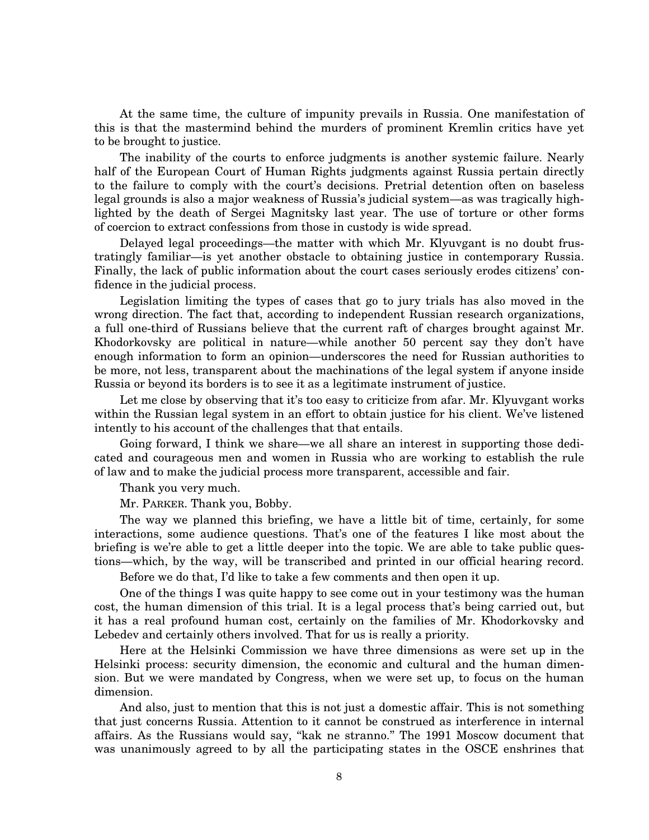At the same time, the culture of impunity prevails in Russia. One manifestation of this is that the mastermind behind the murders of prominent Kremlin critics have yet to be brought to justice.

The inability of the courts to enforce judgments is another systemic failure. Nearly half of the European Court of Human Rights judgments against Russia pertain directly to the failure to comply with the court's decisions. Pretrial detention often on baseless legal grounds is also a major weakness of Russia's judicial system—as was tragically highlighted by the death of Sergei Magnitsky last year. The use of torture or other forms of coercion to extract confessions from those in custody is wide spread.

Delayed legal proceedings—the matter with which Mr. Klyuvgant is no doubt frustratingly familiar—is yet another obstacle to obtaining justice in contemporary Russia. Finally, the lack of public information about the court cases seriously erodes citizens' confidence in the judicial process.

Legislation limiting the types of cases that go to jury trials has also moved in the wrong direction. The fact that, according to independent Russian research organizations, a full one-third of Russians believe that the current raft of charges brought against Mr. Khodorkovsky are political in nature—while another 50 percent say they don't have enough information to form an opinion—underscores the need for Russian authorities to be more, not less, transparent about the machinations of the legal system if anyone inside Russia or beyond its borders is to see it as a legitimate instrument of justice.

Let me close by observing that it's too easy to criticize from afar. Mr. Klyuvgant works within the Russian legal system in an effort to obtain justice for his client. We've listened intently to his account of the challenges that that entails.

Going forward, I think we share—we all share an interest in supporting those dedicated and courageous men and women in Russia who are working to establish the rule of law and to make the judicial process more transparent, accessible and fair.

Thank you very much.

Mr. PARKER. Thank you, Bobby.

The way we planned this briefing, we have a little bit of time, certainly, for some interactions, some audience questions. That's one of the features I like most about the briefing is we're able to get a little deeper into the topic. We are able to take public questions—which, by the way, will be transcribed and printed in our official hearing record.

Before we do that, I'd like to take a few comments and then open it up.

One of the things I was quite happy to see come out in your testimony was the human cost, the human dimension of this trial. It is a legal process that's being carried out, but it has a real profound human cost, certainly on the families of Mr. Khodorkovsky and Lebedev and certainly others involved. That for us is really a priority.

Here at the Helsinki Commission we have three dimensions as were set up in the Helsinki process: security dimension, the economic and cultural and the human dimension. But we were mandated by Congress, when we were set up, to focus on the human dimension.

And also, just to mention that this is not just a domestic affair. This is not something that just concerns Russia. Attention to it cannot be construed as interference in internal affairs. As the Russians would say, ''kak ne stranno.'' The 1991 Moscow document that was unanimously agreed to by all the participating states in the OSCE enshrines that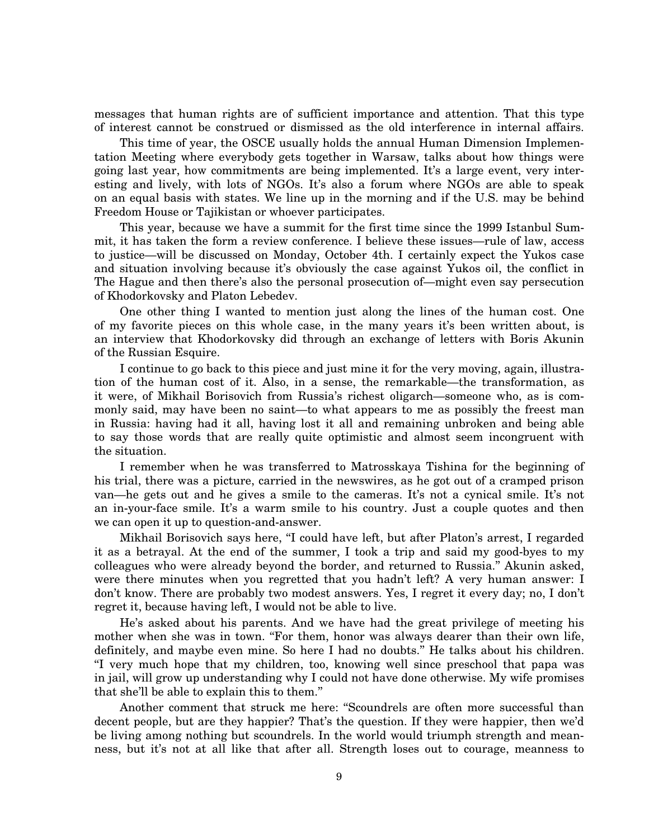messages that human rights are of sufficient importance and attention. That this type of interest cannot be construed or dismissed as the old interference in internal affairs.

This time of year, the OSCE usually holds the annual Human Dimension Implementation Meeting where everybody gets together in Warsaw, talks about how things were going last year, how commitments are being implemented. It's a large event, very interesting and lively, with lots of NGOs. It's also a forum where NGOs are able to speak on an equal basis with states. We line up in the morning and if the U.S. may be behind Freedom House or Tajikistan or whoever participates.

This year, because we have a summit for the first time since the 1999 Istanbul Summit, it has taken the form a review conference. I believe these issues—rule of law, access to justice—will be discussed on Monday, October 4th. I certainly expect the Yukos case and situation involving because it's obviously the case against Yukos oil, the conflict in The Hague and then there's also the personal prosecution of—might even say persecution of Khodorkovsky and Platon Lebedev.

One other thing I wanted to mention just along the lines of the human cost. One of my favorite pieces on this whole case, in the many years it's been written about, is an interview that Khodorkovsky did through an exchange of letters with Boris Akunin of the Russian Esquire.

I continue to go back to this piece and just mine it for the very moving, again, illustration of the human cost of it. Also, in a sense, the remarkable—the transformation, as it were, of Mikhail Borisovich from Russia's richest oligarch—someone who, as is commonly said, may have been no saint—to what appears to me as possibly the freest man in Russia: having had it all, having lost it all and remaining unbroken and being able to say those words that are really quite optimistic and almost seem incongruent with the situation.

I remember when he was transferred to Matrosskaya Tishina for the beginning of his trial, there was a picture, carried in the newswires, as he got out of a cramped prison van—he gets out and he gives a smile to the cameras. It's not a cynical smile. It's not an in-your-face smile. It's a warm smile to his country. Just a couple quotes and then we can open it up to question-and-answer.

Mikhail Borisovich says here, ''I could have left, but after Platon's arrest, I regarded it as a betrayal. At the end of the summer, I took a trip and said my good-byes to my colleagues who were already beyond the border, and returned to Russia.'' Akunin asked, were there minutes when you regretted that you hadn't left? A very human answer: I don't know. There are probably two modest answers. Yes, I regret it every day; no, I don't regret it, because having left, I would not be able to live.

He's asked about his parents. And we have had the great privilege of meeting his mother when she was in town. "For them, honor was always dearer than their own life, definitely, and maybe even mine. So here I had no doubts.'' He talks about his children. ''I very much hope that my children, too, knowing well since preschool that papa was in jail, will grow up understanding why I could not have done otherwise. My wife promises that she'll be able to explain this to them.''

Another comment that struck me here: ''Scoundrels are often more successful than decent people, but are they happier? That's the question. If they were happier, then we'd be living among nothing but scoundrels. In the world would triumph strength and meanness, but it's not at all like that after all. Strength loses out to courage, meanness to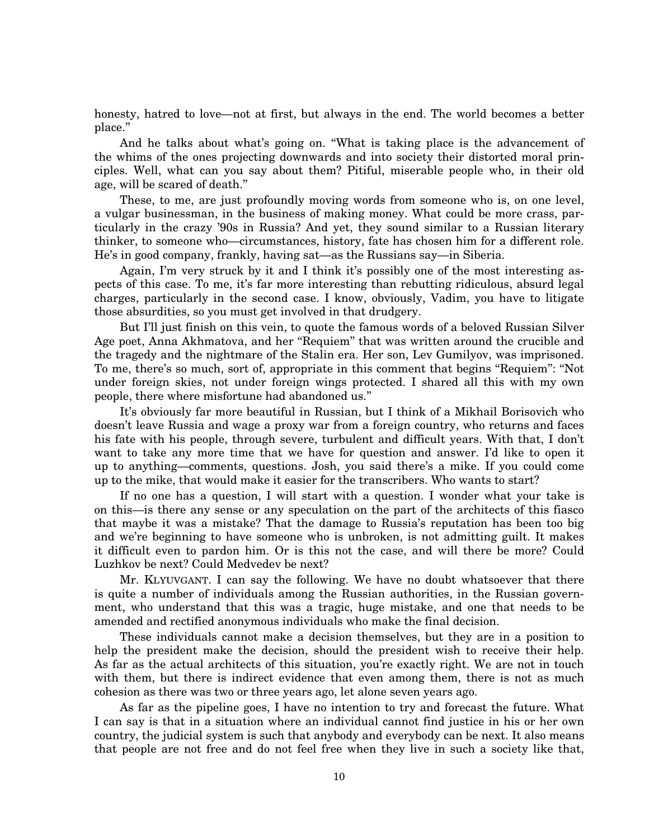honesty, hatred to love—not at first, but always in the end. The world becomes a better place.''

And he talks about what's going on. ''What is taking place is the advancement of the whims of the ones projecting downwards and into society their distorted moral principles. Well, what can you say about them? Pitiful, miserable people who, in their old age, will be scared of death.''

These, to me, are just profoundly moving words from someone who is, on one level, a vulgar businessman, in the business of making money. What could be more crass, particularly in the crazy '90s in Russia? And yet, they sound similar to a Russian literary thinker, to someone who—circumstances, history, fate has chosen him for a different role. He's in good company, frankly, having sat—as the Russians say—in Siberia.

Again, I'm very struck by it and I think it's possibly one of the most interesting aspects of this case. To me, it's far more interesting than rebutting ridiculous, absurd legal charges, particularly in the second case. I know, obviously, Vadim, you have to litigate those absurdities, so you must get involved in that drudgery.

But I'll just finish on this vein, to quote the famous words of a beloved Russian Silver Age poet, Anna Akhmatova, and her ''Requiem'' that was written around the crucible and the tragedy and the nightmare of the Stalin era. Her son, Lev Gumilyov, was imprisoned. To me, there's so much, sort of, appropriate in this comment that begins "Requiem": "Not under foreign skies, not under foreign wings protected. I shared all this with my own people, there where misfortune had abandoned us.''

It's obviously far more beautiful in Russian, but I think of a Mikhail Borisovich who doesn't leave Russia and wage a proxy war from a foreign country, who returns and faces his fate with his people, through severe, turbulent and difficult years. With that, I don't want to take any more time that we have for question and answer. I'd like to open it up to anything—comments, questions. Josh, you said there's a mike. If you could come up to the mike, that would make it easier for the transcribers. Who wants to start?

If no one has a question, I will start with a question. I wonder what your take is on this—is there any sense or any speculation on the part of the architects of this fiasco that maybe it was a mistake? That the damage to Russia's reputation has been too big and we're beginning to have someone who is unbroken, is not admitting guilt. It makes it difficult even to pardon him. Or is this not the case, and will there be more? Could Luzhkov be next? Could Medvedev be next?

Mr. KLYUVGANT. I can say the following. We have no doubt whatsoever that there is quite a number of individuals among the Russian authorities, in the Russian government, who understand that this was a tragic, huge mistake, and one that needs to be amended and rectified anonymous individuals who make the final decision.

These individuals cannot make a decision themselves, but they are in a position to help the president make the decision, should the president wish to receive their help. As far as the actual architects of this situation, you're exactly right. We are not in touch with them, but there is indirect evidence that even among them, there is not as much cohesion as there was two or three years ago, let alone seven years ago.

As far as the pipeline goes, I have no intention to try and forecast the future. What I can say is that in a situation where an individual cannot find justice in his or her own country, the judicial system is such that anybody and everybody can be next. It also means that people are not free and do not feel free when they live in such a society like that,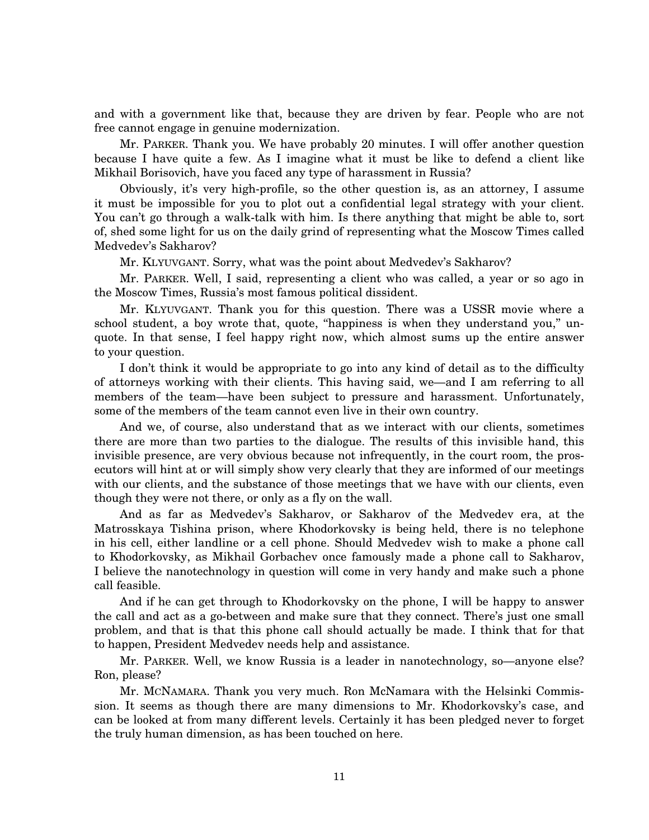and with a government like that, because they are driven by fear. People who are not free cannot engage in genuine modernization.

Mr. PARKER. Thank you. We have probably 20 minutes. I will offer another question because I have quite a few. As I imagine what it must be like to defend a client like Mikhail Borisovich, have you faced any type of harassment in Russia?

Obviously, it's very high-profile, so the other question is, as an attorney, I assume it must be impossible for you to plot out a confidential legal strategy with your client. You can't go through a walk-talk with him. Is there anything that might be able to, sort of, shed some light for us on the daily grind of representing what the Moscow Times called Medvedev's Sakharov?

Mr. KLYUVGANT. Sorry, what was the point about Medvedev's Sakharov?

Mr. PARKER. Well, I said, representing a client who was called, a year or so ago in the Moscow Times, Russia's most famous political dissident.

Mr. KLYUVGANT. Thank you for this question. There was a USSR movie where a school student, a boy wrote that, quote, ''happiness is when they understand you,'' unquote. In that sense, I feel happy right now, which almost sums up the entire answer to your question.

I don't think it would be appropriate to go into any kind of detail as to the difficulty of attorneys working with their clients. This having said, we—and I am referring to all members of the team—have been subject to pressure and harassment. Unfortunately, some of the members of the team cannot even live in their own country.

And we, of course, also understand that as we interact with our clients, sometimes there are more than two parties to the dialogue. The results of this invisible hand, this invisible presence, are very obvious because not infrequently, in the court room, the prosecutors will hint at or will simply show very clearly that they are informed of our meetings with our clients, and the substance of those meetings that we have with our clients, even though they were not there, or only as a fly on the wall.

And as far as Medvedev's Sakharov, or Sakharov of the Medvedev era, at the Matrosskaya Tishina prison, where Khodorkovsky is being held, there is no telephone in his cell, either landline or a cell phone. Should Medvedev wish to make a phone call to Khodorkovsky, as Mikhail Gorbachev once famously made a phone call to Sakharov, I believe the nanotechnology in question will come in very handy and make such a phone call feasible.

And if he can get through to Khodorkovsky on the phone, I will be happy to answer the call and act as a go-between and make sure that they connect. There's just one small problem, and that is that this phone call should actually be made. I think that for that to happen, President Medvedev needs help and assistance.

Mr. PARKER. Well, we know Russia is a leader in nanotechnology, so—anyone else? Ron, please?

Mr. MCNAMARA. Thank you very much. Ron McNamara with the Helsinki Commission. It seems as though there are many dimensions to Mr. Khodorkovsky's case, and can be looked at from many different levels. Certainly it has been pledged never to forget the truly human dimension, as has been touched on here.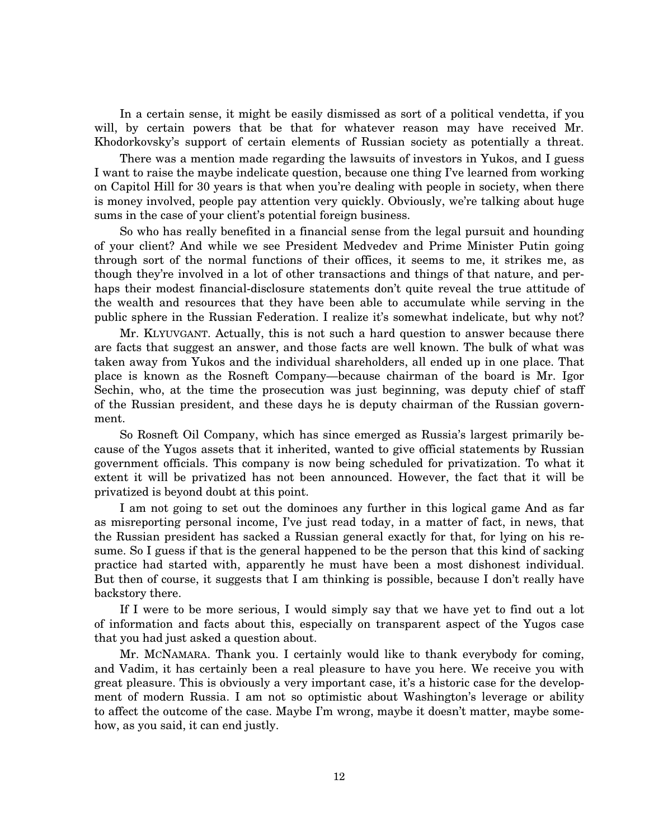In a certain sense, it might be easily dismissed as sort of a political vendetta, if you will, by certain powers that be that for whatever reason may have received Mr. Khodorkovsky's support of certain elements of Russian society as potentially a threat.

There was a mention made regarding the lawsuits of investors in Yukos, and I guess I want to raise the maybe indelicate question, because one thing I've learned from working on Capitol Hill for 30 years is that when you're dealing with people in society, when there is money involved, people pay attention very quickly. Obviously, we're talking about huge sums in the case of your client's potential foreign business.

So who has really benefited in a financial sense from the legal pursuit and hounding of your client? And while we see President Medvedev and Prime Minister Putin going through sort of the normal functions of their offices, it seems to me, it strikes me, as though they're involved in a lot of other transactions and things of that nature, and perhaps their modest financial-disclosure statements don't quite reveal the true attitude of the wealth and resources that they have been able to accumulate while serving in the public sphere in the Russian Federation. I realize it's somewhat indelicate, but why not?

Mr. KLYUVGANT. Actually, this is not such a hard question to answer because there are facts that suggest an answer, and those facts are well known. The bulk of what was taken away from Yukos and the individual shareholders, all ended up in one place. That place is known as the Rosneft Company—because chairman of the board is Mr. Igor Sechin, who, at the time the prosecution was just beginning, was deputy chief of staff of the Russian president, and these days he is deputy chairman of the Russian government.

So Rosneft Oil Company, which has since emerged as Russia's largest primarily because of the Yugos assets that it inherited, wanted to give official statements by Russian government officials. This company is now being scheduled for privatization. To what it extent it will be privatized has not been announced. However, the fact that it will be privatized is beyond doubt at this point.

I am not going to set out the dominoes any further in this logical game And as far as misreporting personal income, I've just read today, in a matter of fact, in news, that the Russian president has sacked a Russian general exactly for that, for lying on his resume. So I guess if that is the general happened to be the person that this kind of sacking practice had started with, apparently he must have been a most dishonest individual. But then of course, it suggests that I am thinking is possible, because I don't really have backstory there.

If I were to be more serious, I would simply say that we have yet to find out a lot of information and facts about this, especially on transparent aspect of the Yugos case that you had just asked a question about.

Mr. MCNAMARA. Thank you. I certainly would like to thank everybody for coming, and Vadim, it has certainly been a real pleasure to have you here. We receive you with great pleasure. This is obviously a very important case, it's a historic case for the development of modern Russia. I am not so optimistic about Washington's leverage or ability to affect the outcome of the case. Maybe I'm wrong, maybe it doesn't matter, maybe somehow, as you said, it can end justly.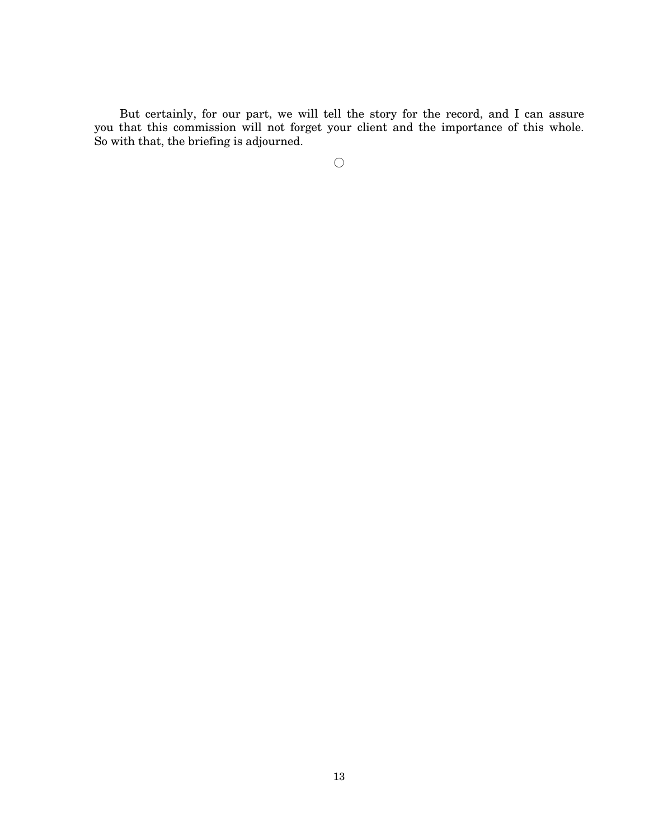But certainly, for our part, we will tell the story for the record, and I can assure you that this commission will not forget your client and the importance of this whole. So with that, the briefing is adjourned.

 $\bigcirc$